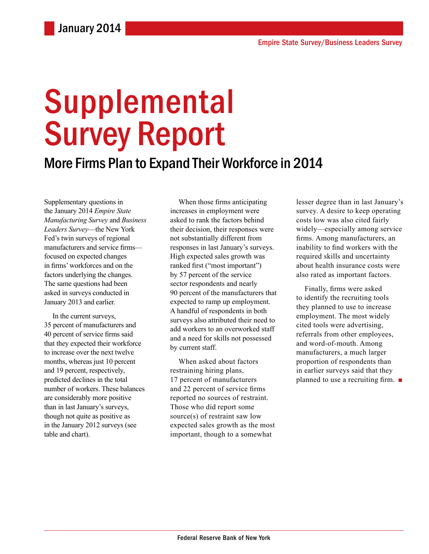# **Supplemental** Survey Report

### More Firms Plan to Expand Their Workforce in 2014

Supplementary questions in the January 2014 *Empire State Manufacturing Survey* and *Business Leaders Survey*—the New York Fed's twin surveys of regional manufacturers and service firms focused on expected changes in firms' workforces and on the factors underlying the changes. The same questions had been asked in surveys conducted in January 2013 and earlier.

In the current surveys, 35 percent of manufacturers and 40 percent of service firms said that they expected their workforce to increase over the next twelve months, whereas just 10 percent and 19 percent, respectively, predicted declines in the total number of workers. These balances are considerably more positive than in last January's surveys, though not quite as positive as in the January 2012 surveys (see table and chart).

When those firms anticipating increases in employment were asked to rank the factors behind their decision, their responses were not substantially different from responses in last January's surveys. High expected sales growth was ranked first ("most important") by 57 percent of the service sector respondents and nearly 90 percent of the manufacturers that expected to ramp up employment. A handful of respondents in both surveys also attributed their need to add workers to an overworked staff and a need for skills not possessed by current staff.

When asked about factors restraining hiring plans, 17 percent of manufacturers and 22 percent of service firms reported no sources of restraint. Those who did report some source(s) of restraint saw low expected sales growth as the most important, though to a somewhat

lesser degree than in last January's survey. A desire to keep operating costs low was also cited fairly widely—especially among service firms. Among manufacturers, an inability to find workers with the required skills and uncertainty about health insurance costs were also rated as important factors.

Finally, firms were asked to identify the recruiting tools they planned to use to increase employment. The most widely cited tools were advertising, referrals from other employees, and word-of-mouth. Among manufacturers, a much larger proportion of respondents than in earlier surveys said that they planned to use a recruiting firm. ■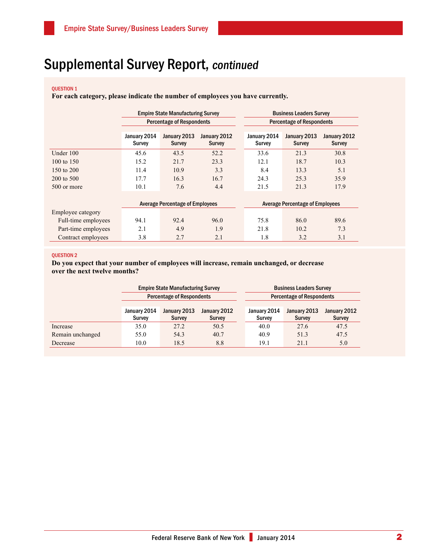## Supplemental Survey Report, continued

#### QUESTION 1

**For each category, please indicate the number of employees you have currently.**

|                     | <b>Empire State Manufacturing Survey</b> |                               |                               |  | <b>Business Leaders Survey</b>         |                               |                               |  |
|---------------------|------------------------------------------|-------------------------------|-------------------------------|--|----------------------------------------|-------------------------------|-------------------------------|--|
|                     | <b>Percentage of Respondents</b>         |                               |                               |  | <b>Percentage of Respondents</b>       |                               |                               |  |
|                     | January 2014<br><b>Survey</b>            | January 2013<br><b>Survey</b> | January 2012<br><b>Survey</b> |  | January 2014<br><b>Survey</b>          | January 2013<br><b>Survey</b> | January 2012<br><b>Survey</b> |  |
| Under 100           | 45.6                                     | 43.5                          | 52.2                          |  | 33.6                                   | 21.3                          | 30.8                          |  |
| 100 to 150          | 15.2                                     | 21.7                          | 23.3                          |  | 12.1                                   | 18.7                          | 10.3                          |  |
| 150 to 200          | 11.4                                     | 10.9                          | 3.3                           |  | 8.4                                    | 13.3                          | 5.1                           |  |
| 200 to 500          | 17.7                                     | 16.3                          | 16.7                          |  | 24.3                                   | 25.3                          | 35.9                          |  |
| 500 or more         | 10.1                                     | 7.6                           | 4.4                           |  | 21.5                                   | 21.3                          | 17.9                          |  |
|                     |                                          |                               |                               |  |                                        |                               |                               |  |
|                     | <b>Average Percentage of Employees</b>   |                               |                               |  | <b>Average Percentage of Employees</b> |                               |                               |  |
| Employee category   |                                          |                               |                               |  |                                        |                               |                               |  |
| Full-time employees | 94.1                                     | 92.4                          | 96.0                          |  | 75.8                                   | 86.0                          | 89.6                          |  |
| Part-time employees | 2.1                                      | 4.9                           | 1.9                           |  | 21.8                                   | 10.2                          | 7.3                           |  |
| Contract employees  | 3.8                                      | 2.7                           | 2.1                           |  | 1.8                                    | 3.2                           | 3.1                           |  |

#### Question 2

**Do you expect that your number of employees will increase, remain unchanged, or decrease over the next twelve months?**

|                  |                                  | <b>Empire State Manufacturing Survey</b> |                               | <b>Business Leaders Survey</b>   |                               |                               |  |
|------------------|----------------------------------|------------------------------------------|-------------------------------|----------------------------------|-------------------------------|-------------------------------|--|
|                  | <b>Percentage of Respondents</b> |                                          |                               | <b>Percentage of Respondents</b> |                               |                               |  |
|                  |                                  |                                          |                               |                                  |                               |                               |  |
|                  | January 2014<br><b>Survey</b>    | January 2013<br><b>Survey</b>            | January 2012<br><b>Survey</b> | January 2014<br><b>Survey</b>    | January 2013<br><b>Survey</b> | January 2012<br><b>Survey</b> |  |
|                  |                                  |                                          |                               |                                  |                               |                               |  |
| Increase         | 35.0                             | 27.2                                     | 50.5                          | 40.0                             | 27.6                          | 47.5                          |  |
| Remain unchanged | 55.0                             | 54.3                                     | 40.7                          | 40.9                             | 51.3                          | 47.5                          |  |
| Decrease         | 10.0                             | 18.5                                     | 8.8                           | 19.1                             | 21.1                          | 5.0                           |  |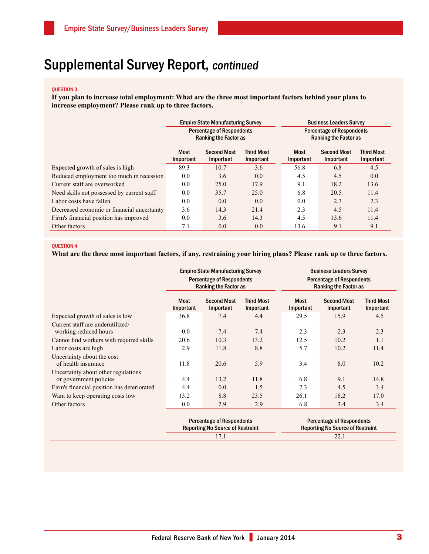## Supplemental Survey Report, continued

#### Question 3

**If you plan to increase** t**otal employment: What are the three most important factors behind your plans to increase employment? Please rank up to three factors.**

|                                             |                   | <b>Empire State Manufacturing Survey</b>                         |                                | <b>Business Leaders Survey</b><br><b>Percentage of Respondents</b><br><b>Ranking the Factor as</b> |                                 |                                |  |
|---------------------------------------------|-------------------|------------------------------------------------------------------|--------------------------------|----------------------------------------------------------------------------------------------------|---------------------------------|--------------------------------|--|
|                                             |                   | <b>Percentage of Respondents</b><br><b>Ranking the Factor as</b> |                                |                                                                                                    |                                 |                                |  |
|                                             | Most<br>Important | <b>Second Most</b><br>Important                                  | <b>Third Most</b><br>Important | Most<br>Important                                                                                  | <b>Second Most</b><br>Important | <b>Third Most</b><br>Important |  |
| Expected growth of sales is high            | 89.3              | 10.7                                                             | 3.6                            | 56.8                                                                                               | 6.8                             | 4.5                            |  |
| Reduced employment too much in recession    | 0.0               | 3.6                                                              | 0.0                            | 4.5                                                                                                | 4.5                             | 0.0                            |  |
| Current staff are overworked                | 0.0               | 25.0                                                             | 17.9                           | 9.1                                                                                                | 18.2                            | 13.6                           |  |
| Need skills not possessed by current staff  | 0.0               | 35.7                                                             | 25.0                           | 6.8                                                                                                | 20.5                            | 11.4                           |  |
| Labor costs have fallen                     | 0.0               | 0.0                                                              | 0.0                            | 0.0                                                                                                | 2.3                             | 2.3                            |  |
| Decreased economic or financial uncertainty | 3.6               | 14.3                                                             | 21.4                           | 2.3                                                                                                | 4.5                             | 11.4                           |  |
| Firm's financial position has improved      | 0.0               | 3.6                                                              | 14.3                           | 4.5                                                                                                | 13.6                            | 11.4                           |  |
| Other factors                               | 7.1               | 0.0                                                              | 0.0                            | 13.6                                                                                               | 9.1                             | 9.1                            |  |

#### Question 4

#### **What are the three most important factors, if any, restraining your hiring plans? Please rank up to three factors.**

|                                                               |                                                                             | <b>Empire State Manufacturing Survey</b> |                                | <b>Business Leaders Survey</b>                                              |                                 |                                |  |
|---------------------------------------------------------------|-----------------------------------------------------------------------------|------------------------------------------|--------------------------------|-----------------------------------------------------------------------------|---------------------------------|--------------------------------|--|
|                                                               | <b>Percentage of Respondents</b><br><b>Ranking the Factor as</b>            |                                          |                                | <b>Percentage of Respondents</b><br><b>Ranking the Factor as</b>            |                                 |                                |  |
|                                                               | <b>Most</b><br>Important                                                    | <b>Second Most</b><br>Important          | <b>Third Most</b><br>Important | <b>Most</b><br>Important                                                    | <b>Second Most</b><br>Important | <b>Third Most</b><br>Important |  |
| Expected growth of sales is low                               | 36.8                                                                        | 7.4                                      | 4.4                            | 29.5                                                                        | 15.9                            | 4.5                            |  |
| Current staff are underutilized/                              |                                                                             |                                          |                                |                                                                             |                                 |                                |  |
| working reduced hours                                         | 0.0                                                                         | 7.4                                      | 7.4                            | 2.3                                                                         | 2.3                             | 2.3                            |  |
| Cannot find workers with required skills                      | 20.6                                                                        | 10.3                                     | 13.2                           | 12.5                                                                        | 10.2                            | 1.1                            |  |
| Labor costs are high                                          | 2.9                                                                         | 11.8                                     | 8.8                            | 5.7                                                                         | 10.2                            | 11.4                           |  |
| Uncertainty about the cost<br>of health insurance             | 11.8                                                                        | 20.6                                     | 5.9                            | 3.4                                                                         | 8.0                             | 10.2                           |  |
| Uncertainty about other regulations<br>or government policies | 4.4                                                                         | 13.2                                     | 11.8                           | 6.8                                                                         | 9.1                             | 14.8                           |  |
| Firm's financial position has deteriorated                    | 4.4                                                                         | 0.0                                      | 1.5                            | 2.3                                                                         | 4.5                             | 3.4                            |  |
| Want to keep operating costs low                              | 13.2                                                                        | 8.8                                      | 23.5                           | 26.1                                                                        | 18.2                            | 17.0                           |  |
| Other factors                                                 | $0.0\,$                                                                     | 2.9                                      | 2.9                            | 6.8                                                                         | 3.4                             | 3.4                            |  |
|                                                               | <b>Percentage of Respondents</b><br><b>Reporting No Source of Restraint</b> |                                          |                                | <b>Percentage of Respondents</b><br><b>Reporting No Source of Restraint</b> |                                 |                                |  |
|                                                               | 17.1                                                                        |                                          |                                | 22.1                                                                        |                                 |                                |  |